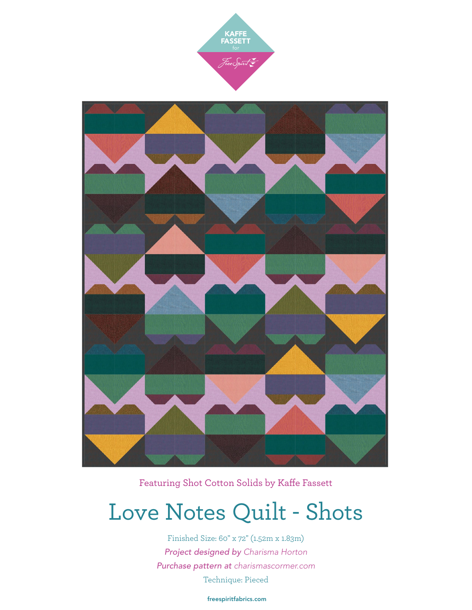



Featuring Shot Cotton Solids by Kaffe Fassett

## Love Notes Quilt - Shots

Finished Size: 60" x 72" (1.52m x 1.83m) *Project designed by Charisma Horton Purchase pattern at [charismascormer.com](http://charismascormer.com)* Technique: Pieced

[freespiritfabrics.com](http://www.freespiritfabric.com)